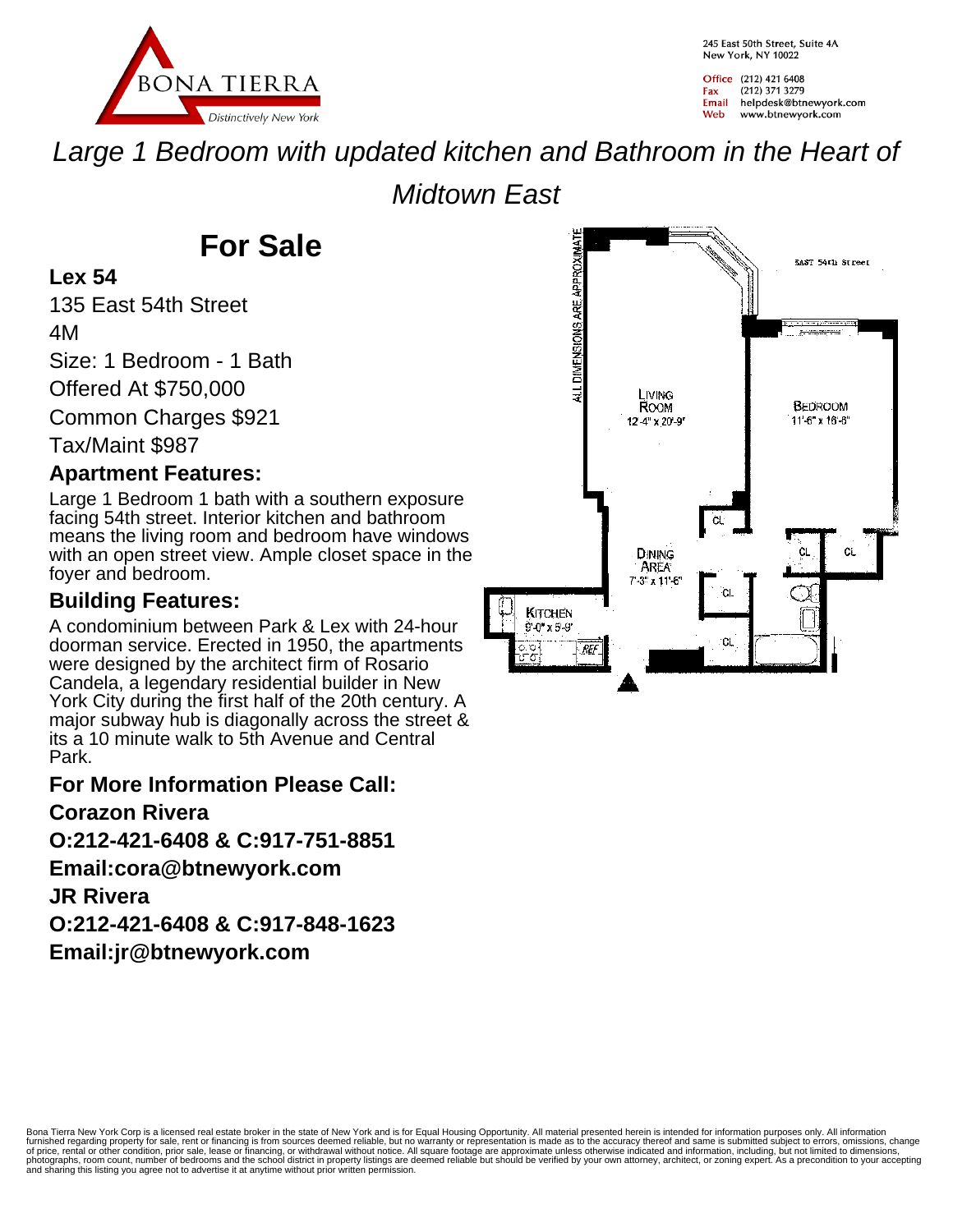

245 Fast 50th Street, Suite 4A New York, NY 10022

Office (212) 421 6408 (212) 371 3279 Fax Email helpdesk@btnewyork.com Web www.btnewyork.com

Large 1 Bedroom with updated kitchen and Bathroom in the Heart of

Midtown East

# **For Sale**

#### **Lex 54**

135 East 54th Street 4M

Size: 1 Bedroom - 1 Bath

Offered At \$750,000

Common Charges \$921

Tax/Maint \$987

### **Apartment Features:**

Large 1 Bedroom 1 bath with a southern exposure facing 54th street. Interior kitchen and bathroom means the living room and bedroom have windows with an open street view. Ample closet space in the foyer and bedroom.

## **Building Features:**

A condominium between Park & Lex with 24-hour doorman service. Erected in 1950, the apartments were designed by the architect firm of Rosario Candela, a legendary residential builder in New York City during the first half of the 20th century. A major subway hub is diagonally across the street & its a 10 minute walk to 5th Avenue and Central Park.

#### **For More Information Please Call:**

#### **Corazon Rivera**

**O:212-421-6408 & C:917-751-8851**

**Email:cora@btnewyork.com**

#### **JR Rivera**

**O:212-421-6408 & C:917-848-1623**

**Email:jr@btnewyork.com**



Bona Tierra New York Corp is a licensed real estate broker in the state of New York and is for Equal Housing Opportunity. All material presented herein is intended for information purposes only. All information<br>furnished r